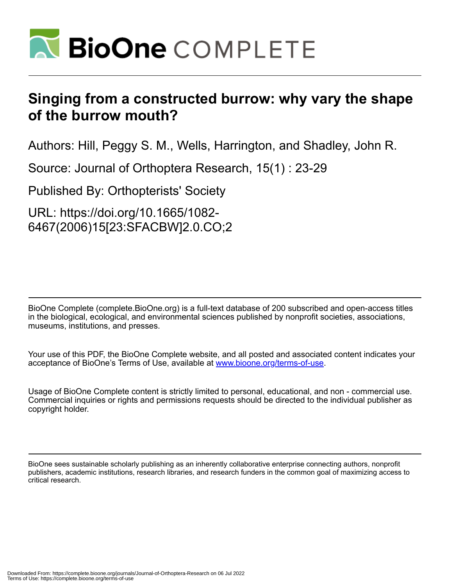

# **Singing from a constructed burrow: why vary the shape of the burrow mouth?**

Authors: Hill, Peggy S. M., Wells, Harrington, and Shadley, John R.

Source: Journal of Orthoptera Research, 15(1) : 23-29

Published By: Orthopterists' Society

URL: https://doi.org/10.1665/1082- 6467(2006)15[23:SFACBW]2.0.CO;2

BioOne Complete (complete.BioOne.org) is a full-text database of 200 subscribed and open-access titles in the biological, ecological, and environmental sciences published by nonprofit societies, associations, museums, institutions, and presses.

Your use of this PDF, the BioOne Complete website, and all posted and associated content indicates your acceptance of BioOne's Terms of Use, available at www.bioone.org/terms-of-use.

Usage of BioOne Complete content is strictly limited to personal, educational, and non - commercial use. Commercial inquiries or rights and permissions requests should be directed to the individual publisher as copyright holder.

BioOne sees sustainable scholarly publishing as an inherently collaborative enterprise connecting authors, nonprofit publishers, academic institutions, research libraries, and research funders in the common goal of maximizing access to critical research.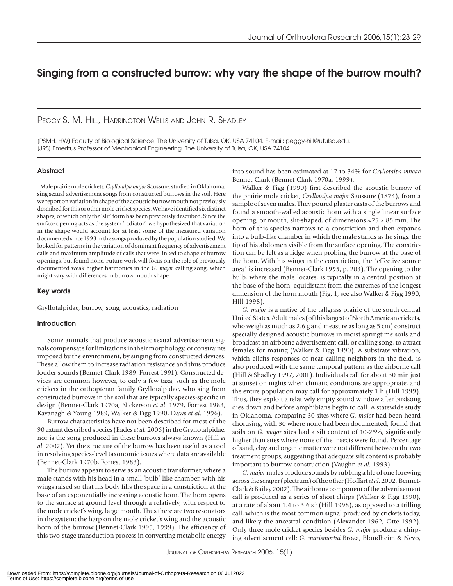# Singing from a constructed burrow: why vary the shape of the burrow mouth?

PEGGY S. M. HILL, HARRINGTON WELLS AND JOHN R. SHADLEY

[PSMH, HW] Faculty of Biological Science, The University of Tulsa, OK, USA 74104. E-mail: peggy-hill@utulsa.edu. [JRS] Emeritus Professor of Mechanical Engineering, The University of Tulsa, OK, USA 74104.

# **Abstract**

 Male prairie mole crickets, *Gryllotalpa major* Saussure, studied in Oklahoma, sing sexual advertisement songs from constructed burrows in the soil. Here we report on variation in shape of the acoustic burrow mouth not previously described for this or other mole cricket species. We have identified six distinct shapes, of which only the 'slit' form has been previously described. Since the surface opening acts as the system 'radiator', we hypothesized that variation in the shape would account for at least some of the measured variation documented since 1993 in the songs produced by the population studied. We looked for patterns in the variation of dominant frequency of advertisement calls and maximum amplitude of calls that were linked to shape of burrow openings, but found none. Future work will focus on the role of previously documented weak higher harmonics in the *G. major* calling song, which might vary with differences in burrow mouth shape.

## Key words

Gryllotalpidae, burrow, song, acoustics, radiation

### **Introduction**

 Some animals that produce acoustic sexual advertisement signals compensate for limitations in their morphology, or constraints imposed by the environment, by singing from constructed devices. These allow them to increase radiation resistance and thus produce louder sounds (Bennet-Clark 1989, Forrest 1991). Constructed devices are common however, to only a few taxa, such as the mole crickets in the orthopteran family Gryllotalpidae, who sing from constructed burrows in the soil that are typically species-specific in design (Bennet-Clark 1970a, Nickerson *et al*. 1979, Forrest 1983, Kavanagh & Young 1989, Walker & Figg 1990, Daws *et al*. 1996).

 Burrow characteristics have not been described for most of the 90 extant described species (Eades *et al.* 2006) in the Gryllotalpidae, nor is the song produced in these burrows always known (Hill *et al*. 2002). Yet the structure of the burrow has been useful as a tool in resolving species-level taxonomic issues where data are available (Bennet-Clark 1970b, Forrest 1983).

 The burrow appears to serve as an acoustic transformer, where a male stands with his head in a small 'bulb'-like chamber, with his wings raised so that his body fills the space in a constriction at the base of an exponentially increasing acoustic horn. The horn opens to the surface at ground level through a relatively, with respect to the mole cricket's wing, large mouth. Thus there are two resonators in the system: the harp on the mole cricket's wing and the acoustic horn of the burrow (Bennet-Clark 1995, 1999). The efficiency of this two-stage transduction process in converting metabolic energy into sound has been estimated at 17 to 34% for *Gryllotalpa vineae* Bennet-Clark (Bennet-Clark 1970a, 1999).

 Walker & Figg (1990) first described the acoustic burrow of the prairie mole cricket, *Gryllotalpa major* Saussure (1874), from a sample of seven males. They poured plaster casts of the burrows and found a smooth-walled acoustic horn with a single linear surface opening, or mouth, slit-shaped, of dimensions  $\sim$ 25  $\times$  85 mm. The horn of this species narrows to a constriction and then expands into a bulb-like chamber in which the male stands as he sings, the tip of his abdomen visible from the surface opening. The constriction can be felt as a ridge when probing the burrow at the base of the horn. With his wings in the constriction, the "effective source area" is increased (Bennet-Clark 1995, p. 203). The opening to the bulb, where the male locates, is typically in a central position at the base of the horn, equidistant from the extremes of the longest dimension of the horn mouth (Fig. 1, see also Walker & Figg 1990, Hill 1998).

 *G. major* is a native of the tallgrass prairie of the south central United States. Adult males (of this largest of North American crickets, who weigh as much as 2.6 g and measure as long as 5 cm) construct specially designed acoustic burrows in moist springtime soils and broadcast an airborne advertisement call, or calling song, to attract females for mating (Walker & Figg 1990). A substrate vibration, which elicits responses of near calling neighbors in the field, is also produced with the same temporal pattern as the airborne call (Hill & Shadley 1997, 2001). Individuals call for about 30 min just at sunset on nights when climatic conditions are appropriate, and the entire population may call for approximately 1 h (Hill 1999). Thus, they exploit a relatively empty sound window after birdsong dies down and before amphibians begin to call. A statewide study in Oklahoma, comparing 30 sites where *G. major* had been heard chorusing, with 30 where none had been documented, found that soils on *G. major* sites had a silt content of 10-25%, significantly higher than sites where none of the insects were found. Percentage of sand, clay and organic matter were not different between the two treatment groups, suggesting that adequate silt content is probably important to burrow construction (Vaughn *et al.* 1993).

 *G. major* males produce sounds by rubbing a file of one forewing across the scraper (plectrum) of the other (Hoffart *et al*. 2002, Bennet-Clark & Bailey 2002). The airborne component of the advertisement call is produced as a series of short chirps (Walker & Figg 1990), at a rate of about 1.4 to 3.6  $s<sup>-1</sup>$  (Hill 1998), as opposed to a trilling call, which is the most common signal produced by crickets today, and likely the ancestral condition (Alexander 1962, Otte 1992). Only three mole cricket species besides *G. major* produce a chirping advertisement call: *G. marismortui* Broza, Blondheim & Nevo,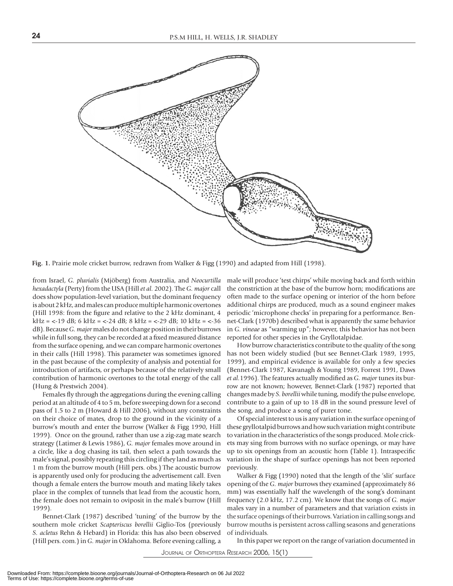

**Fig. 1.** Prairie mole cricket burrow, redrawn from Walker & Figg (1990) and adapted from Hill (1998).

from Israel, *G. pluvialis* (Mjöberg) from Australia, and *Neocurtilla hexadactyla* (Perty) from the USA (Hill *et al.* 2002). The *G. major* call does show population-level variation, but the dominant frequency is about 2 kHz, and males can produce multiple harmonic overtones (Hill 1998: from the figure and relative to the 2 kHz dominant, 4 kHz = <-19 dB; 6 kHz = <-24 dB; 8 kHz = <-29 dB; 10 kHz = <-36 dB). Because *G. major* males do not change position in their burrows while in full song, they can be recorded at a fixed measured distance from the surface opening, and we can compare harmonic overtones in their calls (Hill 1998). This parameter was sometimes ignored in the past because of the complexity of analysis and potential for introduction of artifacts, or perhaps because of the relatively small contribution of harmonic overtones to the total energy of the call (Hung & Prestwich 2004).

 Females fly through the aggregations during the evening calling period at an altitude of 4 to 5 m, before sweeping down for a second pass of 1.5 to 2 m (Howard & Hill 2006), without any constraints on their choice of mates, drop to the ground in the vicinity of a burrow's mouth and enter the burrow (Walker & Figg 1990, Hill 1999). Once on the ground, rather than use a zig-zag mate search strategy (Latimer & Lewis 1986), *G. major* females move around in a circle, like a dog chasing its tail, then select a path towards the male's signal, possibly repeating this circling if they land as much as 1 m from the burrow mouth (Hill pers. obs.) The acoustic burrow is apparently used only for producing the advertisement call. Even though a female enters the burrow mouth and mating likely takes place in the complex of tunnels that lead from the acoustic horn, the female does not remain to oviposit in the male's burrow (Hill 1999).

 Bennet-Clark (1987) described 'tuning' of the burrow by the southern mole cricket *Scapteriscus borellii* Giglio-Tos (previously *S. acletus* Rehn & Hebard) in Florida: this has also been observed (Hill pers. com.) in *G. major* in Oklahoma. Before evening calling, a

male will produce 'test chirps' while moving back and forth within the constriction at the base of the burrow horn; modifications are often made to the surface opening or interior of the horn before additional chirps are produced, much as a sound engineer makes periodic 'microphone checks' in preparing for a performance. Bennet-Clark (1970b) described what is apparently the same behavior in *G. vineae* as "warming up"; however, this behavior has not been reported for other species in the Gryllotalpidae.

 How burrow characteristics contribute to the quality of the song has not been widely studied (but see Bennet-Clark 1989, 1995, 1999), and empirical evidence is available for only a few species (Bennet-Clark 1987, Kavanagh & Young 1989, Forrest 1991, Daws *et al.*1996). The features actually modified as *G. major* tunes its burrow are not known; however, Bennet-Clark (1987) reported that changes made by *S. borellii* while tuning, modify the pulse envelope, contribute to a gain of up to 18 dB in the sound pressure level of the song, and produce a song of purer tone.

 Of special interest to us is any variation in the surface opening of these gryllotalpid burrows and how such variation might contribute to variation in the characteristics of the songs produced. Mole crickets may sing from burrows with no surface openings, or may have up to six openings from an acoustic horn (Table 1). Intraspecific variation in the shape of surface openings has not been reported previously.

 Walker & Figg (1990) noted that the length of the 'slit' surface opening of the *G. major* burrows they examined (approximately 86 mm) was essentially half the wavelength of the song's dominant frequency (2.0 kHz, 17.2 cm). We know that the songs of *G. major* males vary in a number of parameters and that variation exists in the surface openings of their burrows. Variation in calling songs and burrow mouths is persistent across calling seasons and generations of individuals.

In this paper we report on the range of variation documented in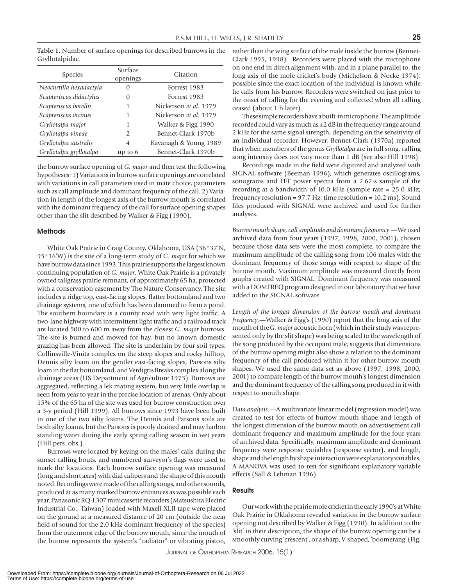**Table 1.** Number of surface openings for described burrows in the Gryllotalpidae.

| <b>Species</b>          | Surface<br>openings | Citation              |  |  |
|-------------------------|---------------------|-----------------------|--|--|
| Neocurtilla hexadactyla | $\left( \right)$    | Forrest 1983          |  |  |
| Scapteriscus didactylus | 0                   | Forrest 1983          |  |  |
| Scapteriscus borellii   | 1                   | Nickerson et al. 1979 |  |  |
| Scapteriscus vicinus    | 1                   | Nickerson et al. 1979 |  |  |
| Gryllotalpa major       | 1                   | Walker & Figg 1990    |  |  |
| Gryllotalpa vineae      | $\overline{2}$      | Bennet-Clark 1970b    |  |  |
| Gryllotalpa australis   | 4                   | Kavanagh & Young 1989 |  |  |
| Gryllotalpa gryllotalpa | up to 6             | Bennet-Clark 1970b    |  |  |

the burrow surface opening of *G. major* and then test the following hypotheses: 1) Variations in burrow surface openings are correlated with variations in call parameters used in mate choice, parameters such as call amplitude and dominant frequency of the call. 2) Variation in length of the longest axis of the burrow mouth is correlated with the dominant frequency of the call for surface opening shapes other than the slit described by Walker & Figg (1990).

#### Methods

 White Oak Prairie in Craig County, Oklahoma, USA (36°37'N, 95°16'W) is the site of a long-term study of *G. major* for which we have burrow data since 1993. This prairie supports the largest known continuing population of *G. major*. White Oak Prairie is a privately owned tallgrass prairie remnant, of approximately 65 ha, protected with a conservation easement by The Nature Conservancy. The site includes a ridge top, east-facing slopes, flatter bottomland and two drainage systems, one of which has been dammed to form a pond. The southern boundary is a county road with very light traffic. A two-lane highway with intermittent light traffic and a railroad track are located 500 to 600 m away from the closest *G. major* burrows. The site is burned and mowed for hay, but no known domestic grazing has been allowed. The site is underlain by four soil types: Collinsville-Vinita complex on the steep slopes and rocky hilltop, Dennis silty loam on the gentler east-facing slopes, Parsons silty loam in the flat bottomland, and Verdigris Breaks complex along the drainage areas (US Department of Agriculture 1973). Burrows are aggregated, reflecting a lek mating system, but very little overlap is seen from year to year in the precise location of arenas. Only about 15% of the 65 ha of the site was used for burrow construction over a 3-y period (Hill 1999). All burrows since 1993 have been built in one of the two silty loams. The Dennis and Parsons soils are both silty loams, but the Parsons is poorly drained and may harbor standing water during the early spring calling season in wet years (Hill pers. obs.).

 Burrows were located by keying on the males' calls during the sunset calling bouts, and numbered surveyor's flags were used to mark the locations. Each burrow surface opening was measured (long and short axes) with dial calipers and the shape of this mouth noted. Recordings were made of the calling songs, and other sounds, produced at as many marked burrow entrances as was possible each year. Panasonic RQ-L307 minicassette recorders (Matsushita Electric Industrial Co., Taiwan) loaded with Maxell XLII tape were placed on the ground at a measured distance of 20 cm (outside the near field of sound for the 2.0 kHz dominant frequency of the species) from the outermost edge of the burrow mouth, since the mouth of the burrow represents the system's "radiator" or vibrating piston,

rather than the wing surface of the male inside the burrow (Bennet-Clark 1995, 1998). Recorders were placed with the microphone on one end in direct alignment with, and in a plane parallel to, the long axis of the mole cricket's body (Michelson & Nocke 1974): possible since the exact location of the individual is known while he calls from his burrow. Recorders were switched on just prior to the onset of calling for the evening and collected when all calling ceased (about 1 h later).

 These simple recorders have a built-in microphone. The amplitude recorded could vary as much as  $\pm 2$  dB in the frequency range around 2 kHz for the same signal strength, depending on the sensitivity of an individual recorder. However, Bennet-Clark (1970a) reported that when members of the genus *Gryllotalpa* are in full song, calling song intensity does not vary more than 1 dB (see also Hill 1998).

 Recordings made in the field were digitized and analyzed with SIGNAL software (Beeman 1996), which generates oscillograms, sonograms and FFT power spectra from a 2.62-s sample of the recording at a bandwidth of 10.0 kHz (sample rate = 25.0 kHz; frequency resolution = 97.7 Hz; time resolution = 10.2 ms). Sound files produced with SIGNAL were archived and used for further analyses.

*Burrow mouth shape, call amplitude and dominant frequency*.—We used archived data from four years (1997, 1998, 2000, 2001), chosen because those data sets were the most complete, to compare the maximum amplitude of the calling song from 106 males with the dominant frequency of those songs with respect to shape of the burrow mouth. Maximum amplitude was measured directly from graphs created with SIGNAL. Dominant frequency was measured with a DOMFREQ program designed in our laboratory that we have added to the SIGNAL software.

Length of the longest dimension of the burrow mouth and dominant *frequency*.—Walker & Figg's (1990) report that the long axis of the mouth of the *G. major* acoustic horn (which in their study was represented only by the slit shape) was being scaled to the wavelength of the song produced by the occupant male, suggests that dimensions of the burrow opening might also show a relation to the dominant frequency of the call produced within it for other burrow mouth shapes. We used the same data set as above (1997, 1998, 2000, 2001) to compare length of the burrow mouth's longest dimension and the dominant frequency of the calling song produced in it with respect to mouth shape.

*Data analysis*.—A multivariate linear model (regression model) was created to test for effects of burrow mouth shape and length of the longest dimension of the burrow mouth on advertisement call dominant frequency and maximum amplitude for the four years of archived data. Specifically, maximum amplitude and dominant frequency were response variables (response vector), and length, shape and the length by shape interaction were explanatory variables. A MANOVA was used to test for significant explanatory variable effects (Sall & Lehman 1996).

# **Results**

 Our work with the prairie mole cricket in the early 1990's at White Oak Prairie in Oklahoma revealed variation in the burrow surface opening not described by Walker & Figg (1990). In addition to the 'slit' in their description, the shape of the burrow opening can be a smoothly curving 'crescent', or a sharp, V-shaped, 'boomerang' (Fig.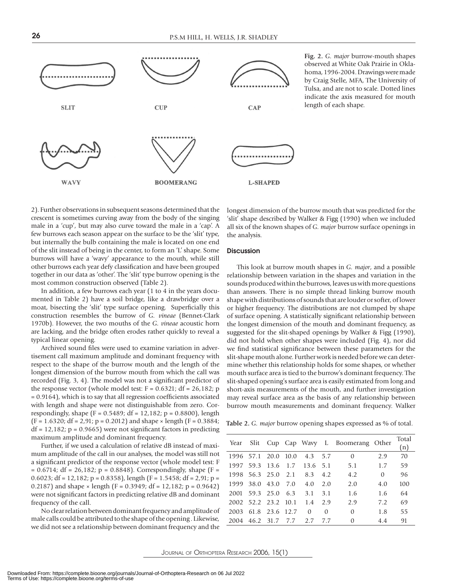

**Fig. 2.** *G. major* burrow-mouth shapes observed at White Oak Prairie in Oklahoma, 1996-2004. Drawings were made by Craig Stelle, MFA, The University of Tulsa, and are not to scale. Dotted lines indicate the axis measured for mouth length of each shape.

2). Further observations in subsequent seasons determined that the crescent is sometimes curving away from the body of the singing male in a 'cup', but may also curve toward the male in a 'cap'. A few burrows each season appear on the surface to be the 'slit' type, but internally the bulb containing the male is located on one end of the slit instead of being in the center, to form an 'L' shape. Some burrows will have a 'wavy' appearance to the mouth, while still other burrows each year defy classification and have been grouped together in our data as 'other'. The 'slit' type burrow opening is the most common construction observed (Table 2).

 In addition, a few burrows each year (1 to 4 in the years documented in Table 2) have a soil bridge, like a drawbridge over a moat, bisecting the 'slit' type surface opening. Superficially this construction resembles the burrow of *G. vineae* (Bennet-Clark 1970b). However, the two mouths of the *G. vineae* acoustic horn are lacking, and the bridge often erodes rather quickly to reveal a typical linear opening.

 Archived sound files were used to examine variation in advertisement call maximum amplitude and dominant frequency with respect to the shape of the burrow mouth and the length of the longest dimension of the burrow mouth from which the call was recorded (Fig. 3, 4). The model was not a significant predictor of the response vector (whole model test:  $F = 0.6321$ ; df = 26,182; p = 0.9164), which is to say that all regression coefficients associated with length and shape were not distinguishable from zero. Correspondingly, shape (F = 0.5489; df = 12,182; p = 0.8800), length  $(F = 1.6320; df = 2.91; p = 0.2012)$  and shape  $\times$  length  $(F = 0.3884;$  $df = 12,182$ ;  $p = 0.9665$ ) were not significant factors in predicting maximum amplitude and dominant frequency.

 Further, if we used a calculation of relative dB instead of maximum amplitude of the call in our analyses, the model was still not a significant predictor of the response vector (whole model test: F  $= 0.6714$ ; df  $= 26.182$ ; p  $= 0.8848$ ). Correspondingly, shape (F  $=$ 0.6023; df = 12,182; p = 0.8358), length (F = 1.5458; df = 2,91; p = 0.2187) and shape  $\times$  length (F = 0.3949; df = 12,182; p = 0.9642) were not significant factors in predicting relative dB and dominant frequency of the call.

 No clear relation between dominant frequency and amplitude of male calls could be attributed to the shape of the opening . Likewise, we did not see a relationship between dominant frequency and the

longest dimension of the burrow mouth that was predicted for the 'slit' shape described by Walker & Figg (1990) when we included all six of the known shapes of *G. major* burrow surface openings in the analysis.

#### **Discussion**

 This look at burrow mouth shapes in *G. major*, and a possible relationship between variation in the shapes and variation in the sounds produced within the burrows, leaves us with more questions than answers. There is no simple thread linking burrow mouth shape with distributions of sounds that are louder or softer, of lower or higher frequency. The distributions are not clumped by shape of surface opening. A statistically significant relationship between the longest dimension of the mouth and dominant frequency, as suggested for the slit-shaped openings by Walker & Figg (1990), did not hold when other shapes were included (Fig. 4), nor did we find statistical significance between these parameters for the slit-shape mouth alone. Further work is needed before we can determine whether this relationship holds for some shapes, or whether mouth surface area is tied to the burrow's dominant frequency. The slit-shaped opening's surface area is easily estimated from long and short-axis measurements of the mouth, and further investigation may reveal surface area as the basis of any relationship between burrow mouth measurements and dominant frequency. Walker

**Table 2.** *G. major* burrow opening shapes expressed as % of total.

|      |                     |                |     |          |          | Year Slit Cup Cap Wavy L Boomerang Other |          | Total<br>(n) |
|------|---------------------|----------------|-----|----------|----------|------------------------------------------|----------|--------------|
|      | 1996 57.1 20.0 10.0 |                |     | 4.3      | 5.7      | $\Omega$                                 | 2.9      | 70           |
|      | 1997 59.3 13.6 1.7  |                |     | 13.6 5.1 |          | 5.1                                      | 1.7      | 59           |
|      | 1998 56.3 25.0 2.1  |                |     | 8.3      | 4.2      | 4.2                                      | $\Omega$ | 96           |
|      | 1999 38.0 43.0 7.0  |                |     | 4.0      | 2.0      | 2.0                                      | 4.0      | 100          |
| 2001 | 59.3 25.0           |                | 6.3 | 3.1      | 3.1      | 1.6                                      | 1.6      | 64           |
|      | 2002 52.2 23.2 10.1 |                |     | 1.4      | 2.9      | 2.9                                      | 7.2      | 69           |
| 2003 |                     | 61.8 23.6 12.7 |     | $\Omega$ | $\Omega$ | $\Omega$                                 | 1.8      | 55           |
| 2004 | 46.2 31.7           |                | 7.7 | 2.7      | 7.7      | $\Omega$                                 | 4.4      | 91           |
|      |                     |                |     |          |          |                                          |          |              |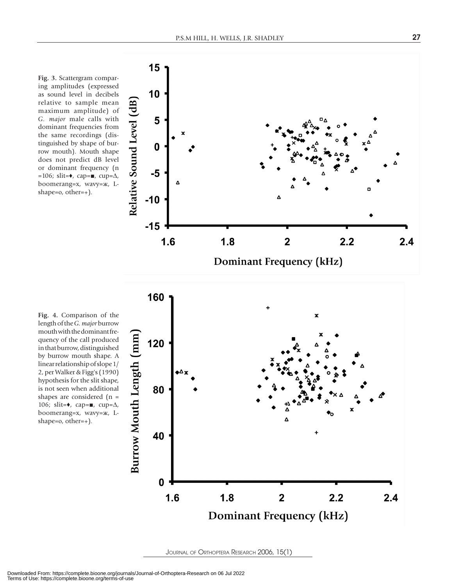**Fig. 3.** Scattergram comparing amplitudes (expressed as sound level in decibels relative to sample mean maximum amplitude) of *G. major* male calls with dominant frequencies from the same recordings (distinguished by shape of burrow mouth). Mouth shape does not predict dB level or dominant frequency (n  $=106$ ; slit=♦, cap=■, cup= $\Delta$ , boomerang=x, wavy=ж, Lshape=о, other=+).

**Fig. 4.** Comparison of the length of the *G. major* burrow mouth with the dominant frequency of the call produced in that burrow, distinguished by burrow mouth shape. A linear relationship of slope 1/ 2, per Walker & Figg's (1990) hypothesis for the slit shape, is not seen when additional shapes are considered (n = 106; slit=♦, cap=■, cup=∆, boomerang=x, wavy=ж, L-

shape=о, other=+).

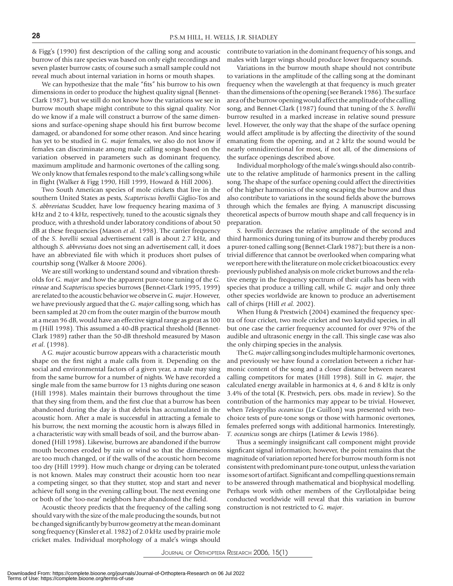& Figg's (1990) first description of the calling song and acoustic burrow of this rare species was based on only eight recordings and seven plaster burrow casts; of course such a small sample could not reveal much about internal variation in horns or mouth shapes.

 We can hypothesize that the male "fits" his burrow to his own dimensions in order to produce the highest quality signal (Bennet-Clark 1987), but we still do not know how the variations we see in burrow mouth shape might contribute to this signal quality. Nor do we know if a male will construct a burrow of the same dimensions and surface-opening shape should his first burrow become damaged, or abandoned for some other reason. And since hearing has yet to be studied in *G. major* females, we also do not know if females can discriminate among male calling songs based on the variation observed in parameters such as dominant frequency, maximum amplitude and harmonic overtones of the calling song. We only know that females respond to the male's calling song while in flight (Walker & Figg 1990, Hill 1999, Howard & Hill 2006).

 Two South American species of mole crickets that live in the southern United States as pests, *Scapteriscus borellii* Giglio-Tos and *S. abbreviatus* Scudder, have low frequency hearing maxima of 3 kHz and 2 to 4 kHz, respectively, tuned to the acoustic signals they produce, with a threshold under laboratory conditions of about 50 dB at these frequencies (Mason *et al.* 1998). The carrier frequency of the *S. borellii* sexual advertisement call is about 2.7 kHz, and although *S. abbreviatus* does not sing an advertisement call, it does have an abbreviated file with which it produces short pulses of courtship song (Walker & Moore 2006).

 We are still working to understand sound and vibration thresholds for *G. major* and how the apparent pure-tone tuning of the *G. vineae* and *Scapteriscus* species burrows (Bennet-Clark 1995, 1999) are related to the acoustic behavior we observe in *G. major*. However, we have previously argued that the *G. major* calling song, which has been sampled at 20 cm from the outer margin of the burrow mouth at a mean 96 dB, would have an effective signal range as great as 100 m (Hill 1998). This assumed a 40-dB practical threshold (Bennet-Clark 1989) rather than the 50-dB threshold measured by Mason *et al*. (1998).

 A *G. major* acoustic burrow appears with a characteristic mouth shape on the first night a male calls from it. Depending on the social and environmental factors of a given year, a male may sing from the same burrow for a number of nights. We have recorded a single male from the same burrow for 13 nights during one season (Hill 1998). Males maintain their burrows throughout the time that they sing from them, and the first clue that a burrow has been abandoned during the day is that debris has accumulated in the acoustic horn. After a male is successful in attracting a female to his burrow, the next morning the acoustic horn is always filled in a characteristic way with small beads of soil, and the burrow abandoned (Hill 1998). Likewise, burrows are abandoned if the burrow mouth becomes eroded by rain or wind so that the dimensions are too much changed, or if the walls of the acoustic horn become too dry (Hill 1999). How much change or drying can be tolerated is not known. Males may construct their acoustic horn too near a competing singer, so that they stutter, stop and start and never achieve full song in the evening calling bout. The next evening one or both of the 'too-near' neighbors have abandoned the field.

 Acoustic theory predicts that the frequency of the calling song should vary with the size of the male producing the sounds, but not be changed significantly by burrow geometry at the mean dominant song frequency (Kinsler et al. 1982) of 2.0 kHz used by prairie mole cricket males. Individual morphology of a male's wings should

contribute to variation in the dominant frequency of his songs, and males with larger wings should produce lower frequency sounds.

 Variations in the burrow mouth shape should not contribute to variations in the amplitude of the calling song at the dominant frequency when the wavelength at that frequency is much greater than the dimensions of the opening (see Beranek 1986). The surface area of the burrow opening would affect the amplitude of the calling song, and Bennet-Clark (1987) found that tuning of the *S. borellii* burrow resulted in a marked increase in relative sound pressure level. However, the only way that the shape of the surface opening would affect amplitude is by affecting the directivity of the sound emanating from the opening, and at 2 kHz the sound would be nearly omnidirectional for most, if not all, of the dimensions of the surface openings described above.

 Individual morphology of the male's wings should also contribute to the relative amplitude of harmonics present in the calling song. The shape of the surface opening could affect the directivities of the higher harmonics of the song escaping the burrow and thus also contribute to variations in the sound fields above the burrows through which the females are flying. A manuscript discussing theoretical aspects of burrow mouth shape and call frequency is in preparation.

 *S. borellii* decreases the relative amplitude of the second and third harmonics during tuning of its burrow and thereby produces a purer-toned calling song (Bennet-Clark 1987); but there is a nontrivial difference that cannot be overlooked when comparing what we report here with the literature on mole cricket bioacoustics: every previously published analysis on mole cricket burrows and the relative energy in the frequency spectrum of their calls has been with species that produce a trilling call, while *G. major* and only three other species worldwide are known to produce an advertisement call of chirps (Hill *et al.* 2002).

 When Hung & Prestwich (2004) examined the frequency spectra of four cricket, two mole cricket and two katydid species, in all but one case the carrier frequency accounted for over 97% of the audible and ultrasonic energy in the call. This single case was also the only chirping species in the analysis.

 The *G. major* calling song includes multiple harmonic overtones, and previously we have found a correlation between a richer harmonic content of the song and a closer distance between nearest calling competitors for mates (Hill 1998). Still in *G. major*, the calculated energy available in harmonics at 4, 6 and 8 kHz is only 3.4% of the total (K. Prestwich, pers. obs. made in review). So the contribution of the harmonics may appear to be trivial. However, when *Teleogryllus oceanicus* (Le Guillon) was presented with twochoice tests of pure-tone songs or those with harmonic overtones, females preferred songs with additional harmonics. Interestingly, *T. oceanicus* songs are chirps (Latimer & Lewis 1986).

 Thus a seemingly insignificant call component might provide signficant signal information; however, the point remains that the magnitude of variation reported here for burrow mouth form is not consistent with predominant pure-tone output, unless the variation is some sort of artifact. Significant and compelling questions remain to be answered through mathematical and biophysical modelling. Perhaps work with other members of the Gryllotalpidae being conducted worldwide will reveal that this variation in burrow construction is not restricted to *G. major*.